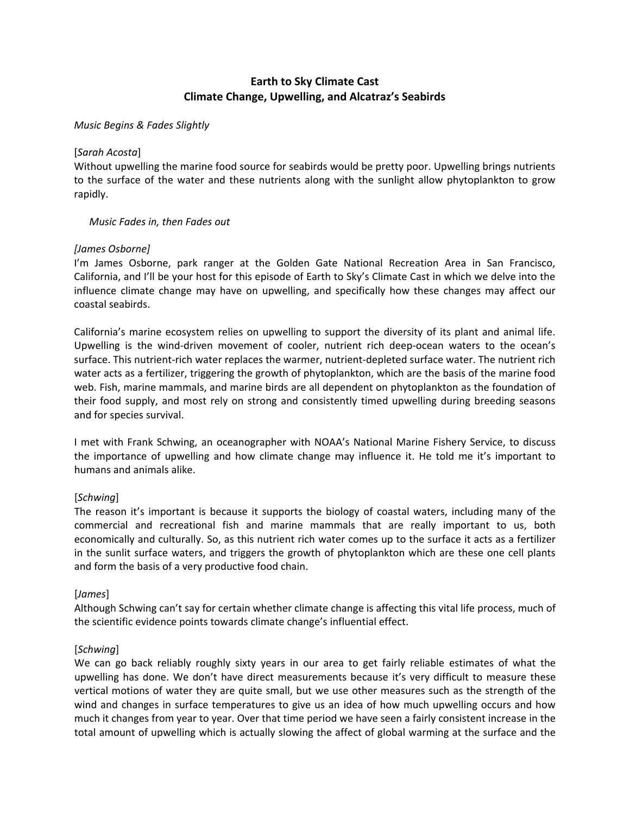# **Earth to Sky Climate Cast Climate Change, Upwelling, and Alcatraz's Seabirds**

### *Music Begins & Fades Slightly*

### [*Sarah Acosta*]

Without upwelling the marine food source for seabirds would be pretty poor. Upwelling brings nutrients to the surface of the water and these nutrients along with the sunlight allow phytoplankton to grow rapidly.

### *Music Fades in, then Fades out*

# *[James Osborne]*

I'm James Osborne, park ranger at the Golden Gate National Recreation Area in San Francisco, California, and I'll be your host for this episode of Earth to Sky's Climate Cast in which we delve into the influence climate change may have on upwelling, and specifically how these changes may affect our coastal seabirds.

California's marine ecosystem relies on upwelling to support the diversity of its plant and animal life. Upwelling is the wind‐driven movement of cooler, nutrient rich deep‐ocean waters to the ocean's surface. This nutrient-rich water replaces the warmer, nutrient-depleted surface water. The nutrient rich water acts as a fertilizer, triggering the growth of phytoplankton, which are the basis of the marine food web. Fish, marine mammals, and marine birds are all dependent on phytoplankton as the foundation of their food supply, and most rely on strong and consistently timed upwelling during breeding seasons and for species survival.

I met with Frank Schwing, an oceanographer with NOAA's National Marine Fishery Service, to discuss the importance of upwelling and how climate change may influence it. He told me it's important to humans and animals alike.

# [*Schwing*]

The reason it's important is because it supports the biology of coastal waters, including many of the commercial and recreational fish and marine mammals that are really important to us, both economically and culturally. So, as this nutrient rich water comes up to the surface it acts as a fertilizer in the sunlit surface waters, and triggers the growth of phytoplankton which are these one cell plants and form the basis of a very productive food chain.

# [*James*]

Although Schwing can't say for certain whether climate change is affecting this vital life process, much of the scientific evidence points towards climate change's influential effect.

# [*Schwing*]

We can go back reliably roughly sixty years in our area to get fairly reliable estimates of what the upwelling has done. We don't have direct measurements because it's very difficult to measure these vertical motions of water they are quite small, but we use other measures such as the strength of the wind and changes in surface temperatures to give us an idea of how much upwelling occurs and how much it changes from year to year. Over that time period we have seen a fairly consistent increase in the total amount of upwelling which is actually slowing the affect of global warming at the surface and the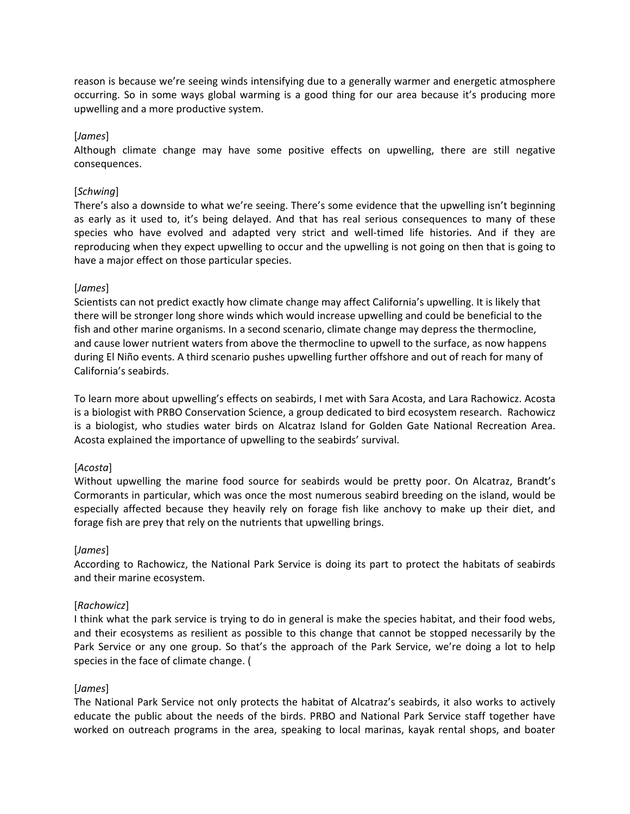reason is because we're seeing winds intensifying due to a generally warmer and energetic atmosphere occurring. So in some ways global warming is a good thing for our area because it's producing more upwelling and a more productive system.

# [*James*]

Although climate change may have some positive effects on upwelling, there are still negative consequences.

# [*Schwing*]

There's also a downside to what we're seeing. There's some evidence that the upwelling isn't beginning as early as it used to, it's being delayed. And that has real serious consequences to many of these species who have evolved and adapted very strict and well-timed life histories. And if they are reproducing when they expect upwelling to occur and the upwelling is not going on then that is going to have a major effect on those particular species.

# [*James*]

Scientists can not predict exactly how climate change may affect California's upwelling. It is likely that there will be stronger long shore winds which would increase upwelling and could be beneficial to the fish and other marine organisms. In a second scenario, climate change may depress the thermocline, and cause lower nutrient waters from above the thermocline to upwell to the surface, as now happens during El Niño events. A third scenario pushes upwelling further offshore and out of reach for many of California's seabirds.

To learn more about upwelling's effects on seabirds, I met with Sara Acosta, and Lara Rachowicz. Acosta is a biologist with PRBO Conservation Science, a group dedicated to bird ecosystem research. Rachowicz is a biologist, who studies water birds on Alcatraz Island for Golden Gate National Recreation Area. Acosta explained the importance of upwelling to the seabirds' survival.

# [*Acosta*]

Without upwelling the marine food source for seabirds would be pretty poor. On Alcatraz, Brandt's Cormorants in particular, which was once the most numerous seabird breeding on the island, would be especially affected because they heavily rely on forage fish like anchovy to make up their diet, and forage fish are prey that rely on the nutrients that upwelling brings.

# [*James*]

According to Rachowicz, the National Park Service is doing its part to protect the habitats of seabirds and their marine ecosystem.

# [*Rachowicz*]

I think what the park service is trying to do in general is make the species habitat, and their food webs, and their ecosystems as resilient as possible to this change that cannot be stopped necessarily by the Park Service or any one group. So that's the approach of the Park Service, we're doing a lot to help species in the face of climate change. (

# [*James*]

The National Park Service not only protects the habitat of Alcatraz's seabirds, it also works to actively educate the public about the needs of the birds. PRBO and National Park Service staff together have worked on outreach programs in the area, speaking to local marinas, kayak rental shops, and boater